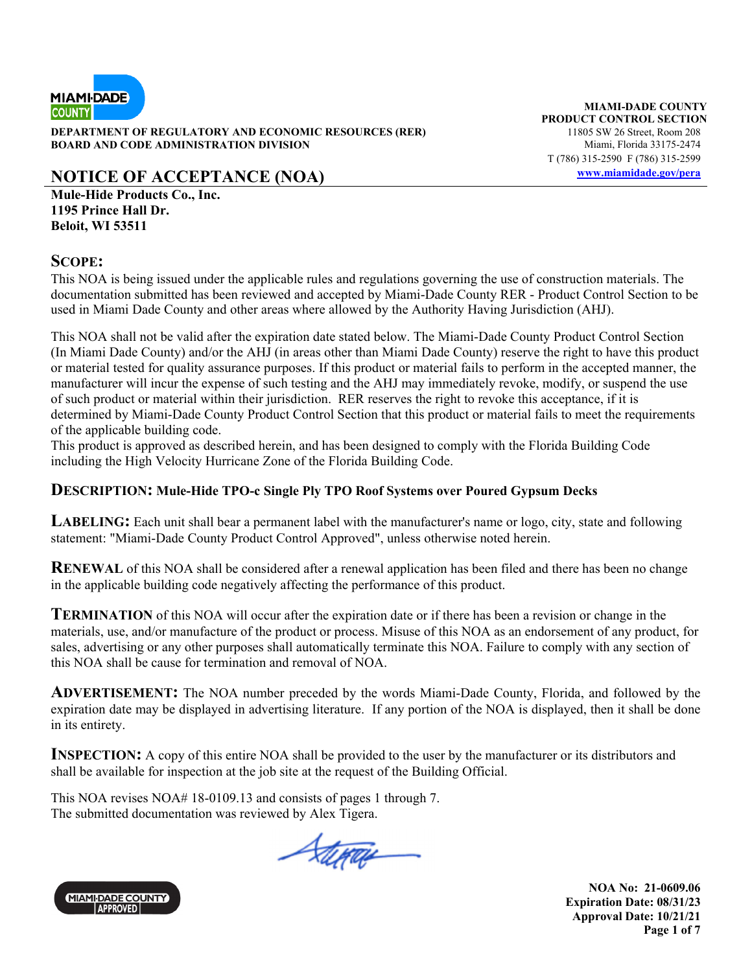

**DEPARTMENT OF REGULATORY AND ECONOMIC RESOURCES (RER)** 11805 SW 26 Street, Room 208<br>**BOARD AND CODE ADMINISTRATION DIVISION** 100 Miami, Florida 33175-2474 **BOARD AND CODE ADMINISTRATION DIVISION** 

# **NOTICE OF ACCEPTANCE (NOA) www.miamidade.gov/pera**

**Mule-Hide Products Co., Inc. 1195 Prince Hall Dr. Beloit, WI 53511** 

### **SCOPE:**

This NOA is being issued under the applicable rules and regulations governing the use of construction materials. The documentation submitted has been reviewed and accepted by Miami-Dade County RER - Product Control Section to be used in Miami Dade County and other areas where allowed by the Authority Having Jurisdiction (AHJ).

This NOA shall not be valid after the expiration date stated below. The Miami-Dade County Product Control Section (In Miami Dade County) and/or the AHJ (in areas other than Miami Dade County) reserve the right to have this product or material tested for quality assurance purposes. If this product or material fails to perform in the accepted manner, the manufacturer will incur the expense of such testing and the AHJ may immediately revoke, modify, or suspend the use of such product or material within their jurisdiction. RER reserves the right to revoke this acceptance, if it is determined by Miami-Dade County Product Control Section that this product or material fails to meet the requirements of the applicable building code.

This product is approved as described herein, and has been designed to comply with the Florida Building Code including the High Velocity Hurricane Zone of the Florida Building Code.

### **DESCRIPTION: Mule-Hide TPO-c Single Ply TPO Roof Systems over Poured Gypsum Decks**

**LABELING:** Each unit shall bear a permanent label with the manufacturer's name or logo, city, state and following statement: "Miami-Dade County Product Control Approved", unless otherwise noted herein.

**RENEWAL** of this NOA shall be considered after a renewal application has been filed and there has been no change in the applicable building code negatively affecting the performance of this product.

**TERMINATION** of this NOA will occur after the expiration date or if there has been a revision or change in the materials, use, and/or manufacture of the product or process. Misuse of this NOA as an endorsement of any product, for sales, advertising or any other purposes shall automatically terminate this NOA. Failure to comply with any section of this NOA shall be cause for termination and removal of NOA.

**ADVERTISEMENT:** The NOA number preceded by the words Miami-Dade County, Florida, and followed by the expiration date may be displayed in advertising literature. If any portion of the NOA is displayed, then it shall be done in its entirety.

**INSPECTION:** A copy of this entire NOA shall be provided to the user by the manufacturer or its distributors and shall be available for inspection at the job site at the request of the Building Official.

This NOA revises NOA# 18-0109.13 and consists of pages 1 through 7. The submitted documentation was reviewed by Alex Tigera.

Stepa



**MIAMI-DADE COUNTY PRODUCT CONTROL SECTION** T (786) 315-2590 F (786) 315-2599

> **NOA No: 21-0609.06 Expiration Date: 08/31/23 Approval Date: 10/21/21 Page 1 of 7**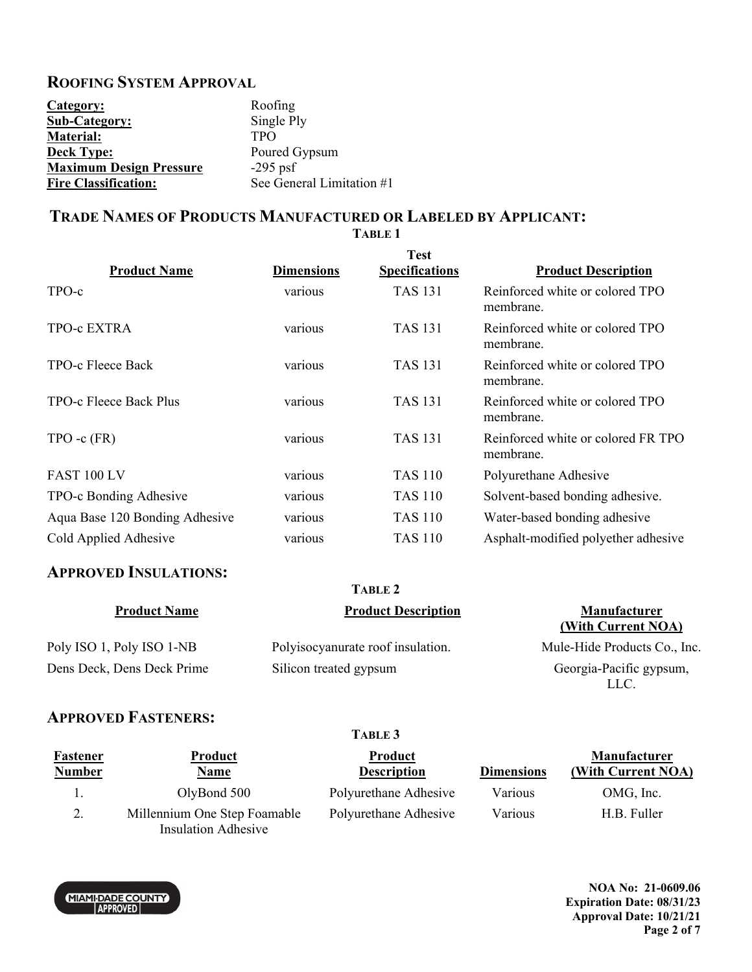### **ROOFING SYSTEM APPROVAL**

| Category:                      | Roofing                   |
|--------------------------------|---------------------------|
| <b>Sub-Category:</b>           | Single Ply                |
| <b>Material:</b>               | <b>TPO</b>                |
| <b>Deck Type:</b>              | Poured Gypsum             |
| <b>Maximum Design Pressure</b> | $-295$ psf                |
| <b>Fire Classification:</b>    | See General Limitation #1 |

# **TRADE NAMES OF PRODUCTS MANUFACTURED OR LABELED BY APPLICANT:**

**TABLE 1** 

| <b>Product Name</b>            | <b>Dimensions</b> | <b>Test</b><br><b>Specifications</b> | <b>Product Description</b>                      |
|--------------------------------|-------------------|--------------------------------------|-------------------------------------------------|
| TPO-c                          | various           | <b>TAS 131</b>                       | Reinforced white or colored TPO<br>membrane.    |
| <b>TPO-c EXTRA</b>             | various           | <b>TAS 131</b>                       | Reinforced white or colored TPO<br>membrane.    |
| TPO-c Fleece Back              | various           | <b>TAS 131</b>                       | Reinforced white or colored TPO<br>membrane.    |
| TPO-c Fleece Back Plus         | various           | <b>TAS 131</b>                       | Reinforced white or colored TPO<br>membrane.    |
| $TPO - c$ $(FR)$               | various           | <b>TAS 131</b>                       | Reinforced white or colored FR TPO<br>membrane. |
| FAST 100 LV                    | various           | TAS 110                              | Polyurethane Adhesive                           |
| TPO-c Bonding Adhesive         | various           | <b>TAS 110</b>                       | Solvent-based bonding adhesive.                 |
| Aqua Base 120 Bonding Adhesive | various           | <b>TAS 110</b>                       | Water-based bonding adhesive                    |
| Cold Applied Adhesive          | various           | <b>TAS 110</b>                       | Asphalt-modified polyether adhesive             |

# **APPROVED INSULATIONS:**

| TABLE 2                    |                                   |                                           |
|----------------------------|-----------------------------------|-------------------------------------------|
| <b>Product Name</b>        | <b>Product Description</b>        | <b>Manufacturer</b><br>(With Current NOA) |
| Poly ISO 1, Poly ISO 1-NB  | Polyisocyanurate roof insulation. | Mule-Hide Products Co., Inc.              |
| Dens Deck, Dens Deck Prime | Silicon treated gypsum            | Georgia-Pacific gypsum,<br>LLC.           |

### **APPROVED FASTENERS:**

MIAMI-DADE COUNTY

| Fastener<br><b>Number</b> | <b>Product</b><br><u>Name</u>                              | Product<br><b>Description</b> | <b>Dimensions</b> | <b>Manufacturer</b><br>(With Current NOA) |
|---------------------------|------------------------------------------------------------|-------------------------------|-------------------|-------------------------------------------|
|                           | OlyBond 500                                                | Polyurethane Adhesive         | Various           | OMG, Inc.                                 |
| 2.                        | Millennium One Step Foamable<br><b>Insulation Adhesive</b> | Polyurethane Adhesive         | Various           | H.B. Fuller                               |

**TABLE 3** 

**NOA No: 21-0609.06 Expiration Date: 08/31/23 Approval Date: 10/21/21 Page 2 of 7**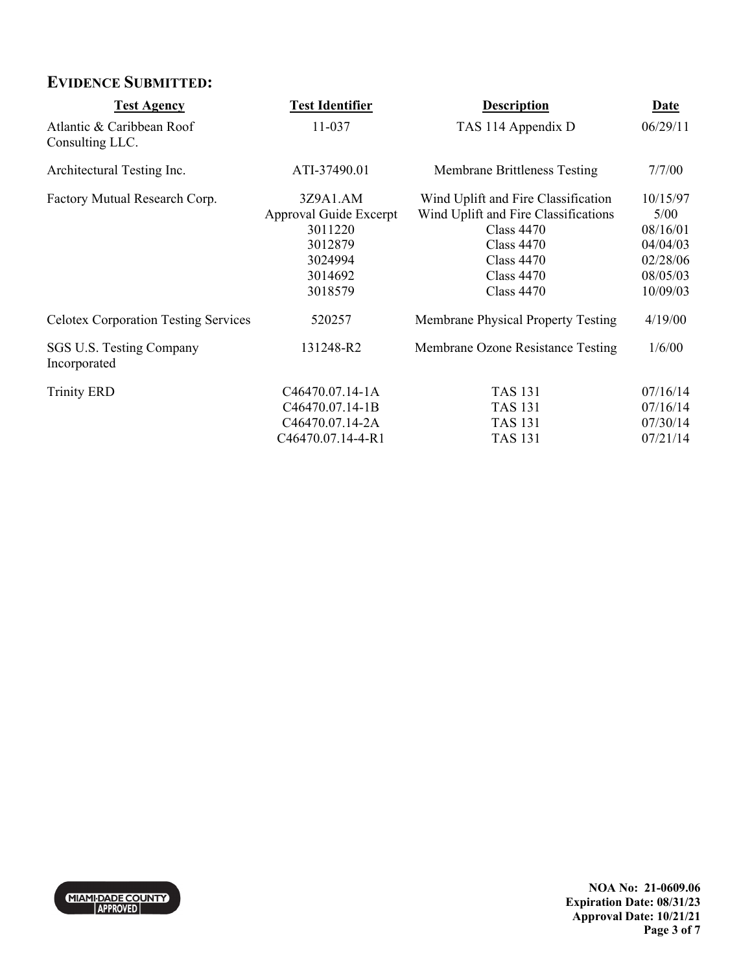# **EVIDENCE SUBMITTED:**

| <b>Test Agency</b>                           | <b>Test Identifier</b>                                                                    | <b>Description</b>                                                                                                                                                              | <b>Date</b>                                                                  |
|----------------------------------------------|-------------------------------------------------------------------------------------------|---------------------------------------------------------------------------------------------------------------------------------------------------------------------------------|------------------------------------------------------------------------------|
| Atlantic & Caribbean Roof<br>Consulting LLC. | 11-037                                                                                    | TAS 114 Appendix D                                                                                                                                                              | 06/29/11                                                                     |
| Architectural Testing Inc.                   | ATI-37490.01                                                                              | <b>Membrane Brittleness Testing</b>                                                                                                                                             | 7/7/00                                                                       |
| Factory Mutual Research Corp.                | 3Z9A1.AM<br>Approval Guide Excerpt<br>3011220<br>3012879<br>3024994<br>3014692<br>3018579 | Wind Uplift and Fire Classification<br>Wind Uplift and Fire Classifications<br><b>Class 4470</b><br><b>Class 4470</b><br>Class $4470$<br><b>Class 4470</b><br><b>Class 4470</b> | 10/15/97<br>5/00<br>08/16/01<br>04/04/03<br>02/28/06<br>08/05/03<br>10/09/03 |
| <b>Celotex Corporation Testing Services</b>  | 520257                                                                                    | Membrane Physical Property Testing                                                                                                                                              | 4/19/00                                                                      |
| SGS U.S. Testing Company<br>Incorporated     | 131248-R2                                                                                 | Membrane Ozone Resistance Testing                                                                                                                                               | 1/6/00                                                                       |
| <b>Trinity ERD</b>                           | C46470.07.14-1A<br>C46470.07.14-1B<br>C46470.07.14-2A<br>C46470.07.14-4-R1                | <b>TAS 131</b><br><b>TAS 131</b><br><b>TAS 131</b><br><b>TAS 131</b>                                                                                                            | 07/16/14<br>07/16/14<br>07/30/14<br>07/21/14                                 |

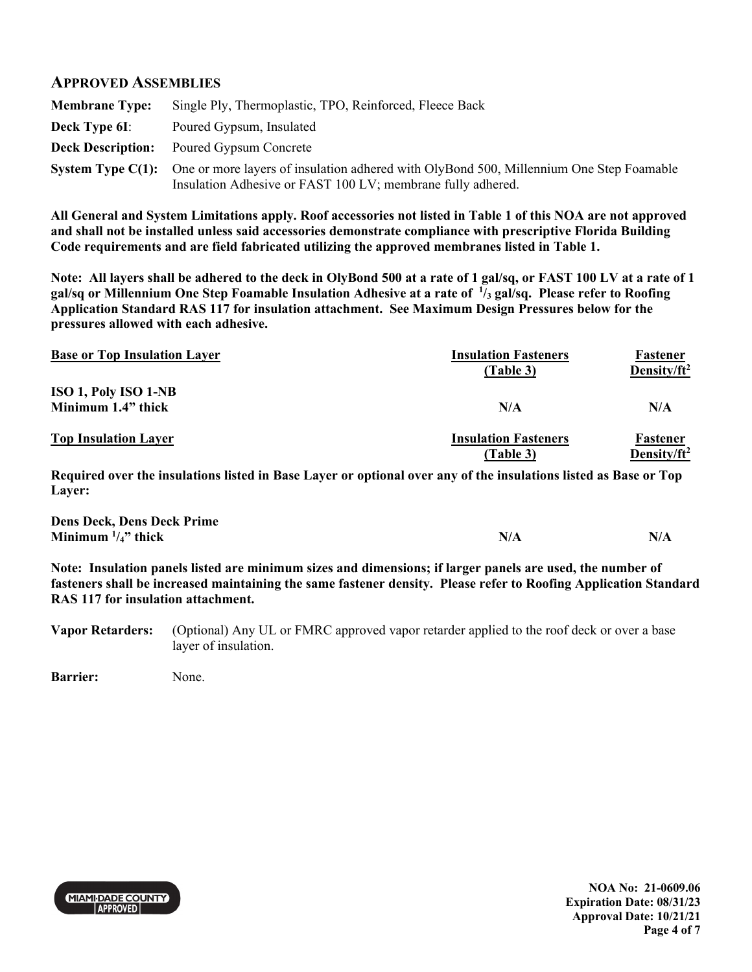#### **APPROVED ASSEMBLIES**

| <b>Membrane Type:</b> | Single Ply, Thermoplastic, TPO, Reinforced, Fleece Back                                                                                                                         |
|-----------------------|---------------------------------------------------------------------------------------------------------------------------------------------------------------------------------|
| Deck Type 6I:         | Poured Gypsum, Insulated                                                                                                                                                        |
|                       | <b>Deck Description:</b> Poured Gypsum Concrete                                                                                                                                 |
|                       | <b>System Type C(1):</b> One or more layers of insulation adhered with OlyBond 500, Millennium One Step Foamable<br>Insulation Adhesive or FAST 100 LV; membrane fully adhered. |

**All General and System Limitations apply. Roof accessories not listed in Table 1 of this NOA are not approved and shall not be installed unless said accessories demonstrate compliance with prescriptive Florida Building Code requirements and are field fabricated utilizing the approved membranes listed in Table 1.** 

**Note: All layers shall be adhered to the deck in OlyBond 500 at a rate of 1 gal/sq, or FAST 100 LV at a rate of 1 gal/sq or Millennium One Step Foamable Insulation Adhesive at a rate of 1 /3 gal/sq. Please refer to Roofing Application Standard RAS 117 for insulation attachment. See Maximum Design Pressures below for the pressures allowed with each adhesive.**

| <b>Base or Top Insulation Layer</b> | <b>Insulation Fasteners</b><br>(Table 3) | Fastener<br>Density/ $ft^2$ |
|-------------------------------------|------------------------------------------|-----------------------------|
| <b>ISO 1, Poly ISO 1-NB</b>         |                                          |                             |
| Minimum 1.4" thick                  | N/A                                      | N/A                         |
| <b>Top Insulation Layer</b>         | <b>Insulation Fasteners</b>              | Fastener                    |
|                                     | (Table 3)                                | Density/ft <sup>2</sup>     |

**Required over the insulations listed in Base Layer or optional over any of the insulations listed as Base or Top Layer:** 

| <b>Dens Deck, Dens Deck Prime</b> |     |
|-----------------------------------|-----|
| Minimum $\frac{1}{4}$ " thick     | N/A |

**Note: Insulation panels listed are minimum sizes and dimensions; if larger panels are used, the number of fasteners shall be increased maintaining the same fastener density. Please refer to Roofing Application Standard RAS 117 for insulation attachment.** 

**Vapor Retarders:** (Optional) Any UL or FMRC approved vapor retarder applied to the roof deck or over a base layer of insulation.

**Barrier:** None.



**NOA No: 21-0609.06 Expiration Date: 08/31/23 Approval Date: 10/21/21 Page 4 of 7**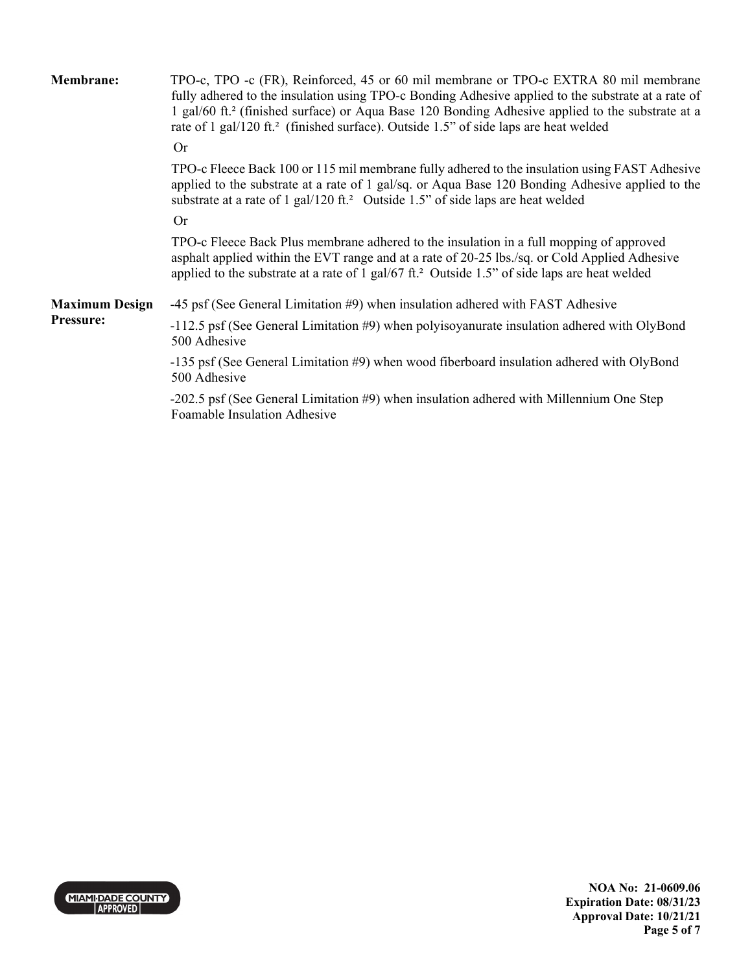| <b>Membrane:</b>      | TPO-c, TPO -c (FR), Reinforced, 45 or 60 mil membrane or TPO-c EXTRA 80 mil membrane<br>fully adhered to the insulation using TPO-c Bonding Adhesive applied to the substrate at a rate of<br>1 gal/60 ft. <sup>2</sup> (finished surface) or Aqua Base 120 Bonding Adhesive applied to the substrate at a<br>rate of 1 gal/120 ft. <sup>2</sup> (finished surface). Outside 1.5" of side laps are heat welded |
|-----------------------|----------------------------------------------------------------------------------------------------------------------------------------------------------------------------------------------------------------------------------------------------------------------------------------------------------------------------------------------------------------------------------------------------------------|
|                       | <b>Or</b>                                                                                                                                                                                                                                                                                                                                                                                                      |
|                       | TPO-c Fleece Back 100 or 115 mil membrane fully adhered to the insulation using FAST Adhesive<br>applied to the substrate at a rate of 1 gal/sq. or Aqua Base 120 Bonding Adhesive applied to the<br>substrate at a rate of 1 gal/120 ft. <sup>2</sup> Outside 1.5" of side laps are heat welded                                                                                                               |
|                       | <b>Or</b>                                                                                                                                                                                                                                                                                                                                                                                                      |
|                       | TPO-c Fleece Back Plus membrane adhered to the insulation in a full mopping of approved<br>asphalt applied within the EVT range and at a rate of 20-25 lbs./sq. or Cold Applied Adhesive<br>applied to the substrate at a rate of 1 gal/67 ft. <sup>2</sup> Outside 1.5" of side laps are heat welded                                                                                                          |
| <b>Maximum Design</b> | -45 psf (See General Limitation #9) when insulation adhered with FAST Adhesive                                                                                                                                                                                                                                                                                                                                 |
| <b>Pressure:</b>      | $-112.5$ psf (See General Limitation #9) when polyisoyanurate insulation adhered with OlyBond<br>500 Adhesive                                                                                                                                                                                                                                                                                                  |
|                       | -135 psf (See General Limitation #9) when wood fiberboard insulation adhered with OlyBond<br>500 Adhesive                                                                                                                                                                                                                                                                                                      |
|                       | -202.5 psf (See General Limitation #9) when insulation adhered with Millennium One Step<br>Foamable Insulation Adhesive                                                                                                                                                                                                                                                                                        |

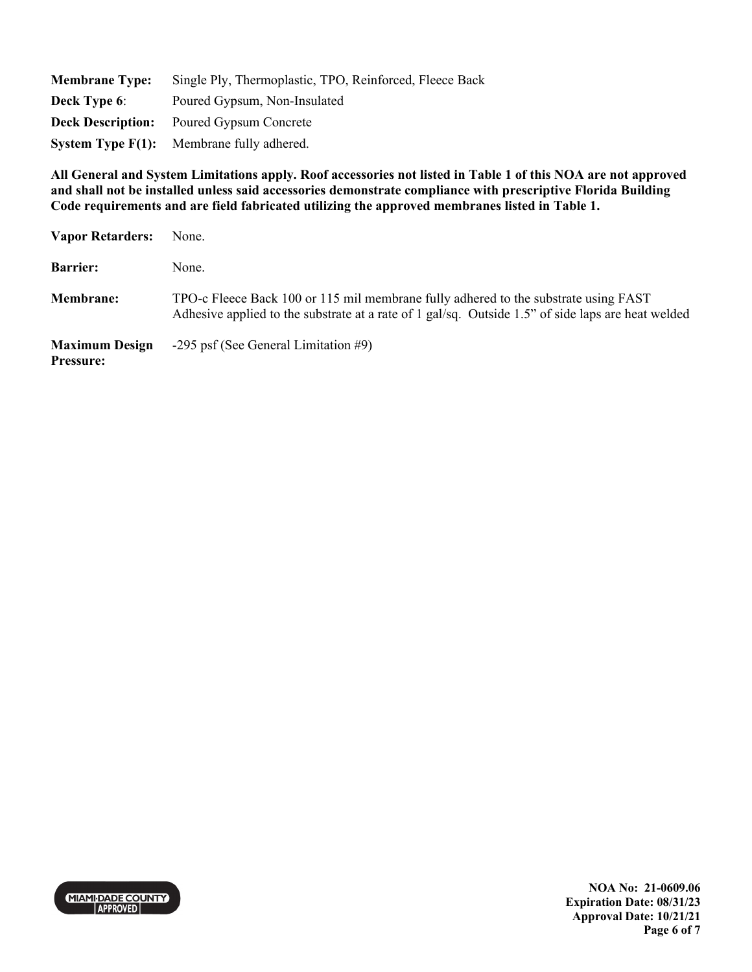| <b>Membrane Type:</b>    | Single Ply, Thermoplastic, TPO, Reinforced, Fleece Back       |
|--------------------------|---------------------------------------------------------------|
| <b>Deck Type 6:</b>      | Poured Gypsum, Non-Insulated                                  |
| <b>Deck Description:</b> | Poured Gypsum Concrete                                        |
|                          | <b>System Type <math>F(1)</math>:</b> Membrane fully adhered. |

**All General and System Limitations apply. Roof accessories not listed in Table 1 of this NOA are not approved and shall not be installed unless said accessories demonstrate compliance with prescriptive Florida Building Code requirements and are field fabricated utilizing the approved membranes listed in Table 1.** 

| <b>Vapor Retarders:</b>                   | None.                                                                                                                                                                                     |
|-------------------------------------------|-------------------------------------------------------------------------------------------------------------------------------------------------------------------------------------------|
| <b>Barrier:</b>                           | None.                                                                                                                                                                                     |
| <b>Membrane:</b>                          | TPO-c Fleece Back 100 or 115 mil membrane fully adhered to the substrate using FAST<br>Adhesive applied to the substrate at a rate of 1 gal/sq. Outside 1.5" of side laps are heat welded |
| <b>Maximum Design</b><br><b>Pressure:</b> | -295 psf (See General Limitation $#9$ )                                                                                                                                                   |